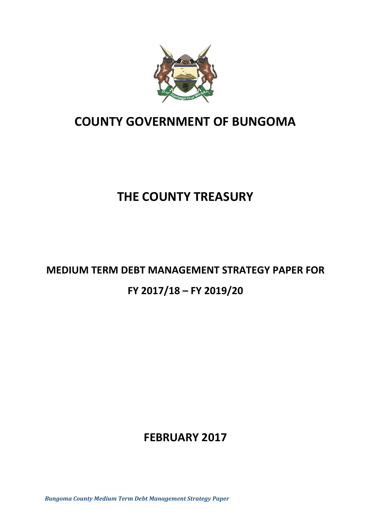

# **COUNTY GOVERNMENT OF BUNGOMA**

# **THE COUNTY TREASURY**

# **MEDIUM TERM DEBT MANAGEMENT STRATEGY PAPER FOR FY 2017/18 – FY 2019/20**

# **FEBRUARY 2017**

*Bungoma County Medium Term Debt Management Strategy Paper*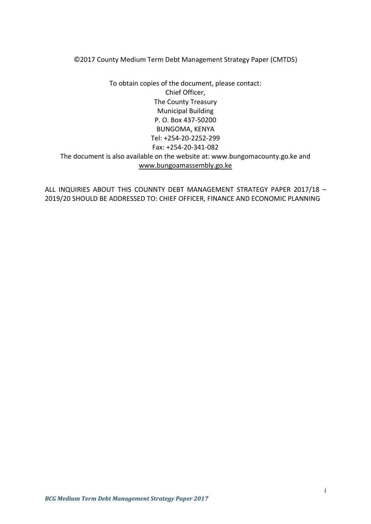©2017 County Medium Term Debt Management Strategy Paper (CMTDS)

To obtain copies of the document, please contact: Chief Officer, The County Treasury Municipal Building P. O. Box 437-50200 BUNGOMA, KENYA Tel: +254-20-2252-299 Fax: +254-20-341-082 The document is also available on the website at: www.bungomacounty.go.ke and [www.bungoamassembly.go.ke](http://www.bungoamassembly.go.ke/)

ALL INQUIRIES ABOUT THIS COUNNTY DEBT MANAGEMENT STRATEGY PAPER 2017/18 – 2019/20 SHOULD BE ADDRESSED TO: CHIEF OFFICER, FINANCE AND ECONOMIC PLANNING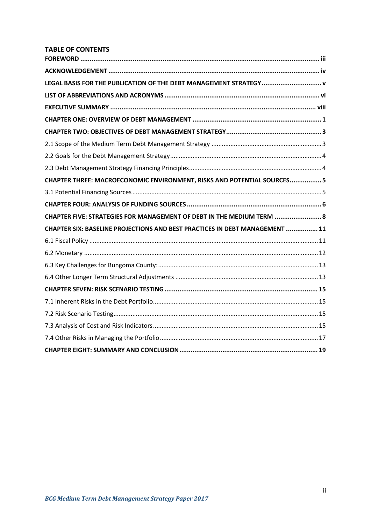## **TABLE OF CONTENTS**

| LEGAL BASIS FOR THE PUBLICATION OF THE DEBT MANAGEMENT STRATEGY v           |  |
|-----------------------------------------------------------------------------|--|
|                                                                             |  |
|                                                                             |  |
|                                                                             |  |
|                                                                             |  |
|                                                                             |  |
|                                                                             |  |
|                                                                             |  |
| CHAPTER THREE: MACROECONOMIC ENVIRONMENT, RISKS AND POTENTIAL SOURCES5      |  |
|                                                                             |  |
|                                                                             |  |
| CHAPTER FIVE: STRATEGIES FOR MANAGEMENT OF DEBT IN THE MEDIUM TERM  8       |  |
| CHAPTER SIX: BASELINE PROJECTIONS AND BEST PRACTICES IN DEBT MANAGEMENT  11 |  |
|                                                                             |  |
|                                                                             |  |
|                                                                             |  |
|                                                                             |  |
|                                                                             |  |
|                                                                             |  |
|                                                                             |  |
|                                                                             |  |
|                                                                             |  |
|                                                                             |  |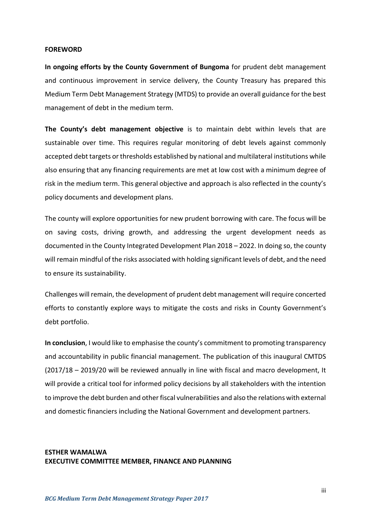#### <span id="page-3-0"></span>**FOREWORD**

**In ongoing efforts by the County Government of Bungoma** for prudent debt management and continuous improvement in service delivery, the County Treasury has prepared this Medium Term Debt Management Strategy (MTDS) to provide an overall guidance for the best management of debt in the medium term.

**The County's debt management objective** is to maintain debt within levels that are sustainable over time. This requires regular monitoring of debt levels against commonly accepted debt targets or thresholds established by national and multilateral institutions while also ensuring that any financing requirements are met at low cost with a minimum degree of risk in the medium term. This general objective and approach is also reflected in the county's policy documents and development plans.

The county will explore opportunities for new prudent borrowing with care. The focus will be on saving costs, driving growth, and addressing the urgent development needs as documented in the County Integrated Development Plan 2018 – 2022. In doing so, the county will remain mindful of the risks associated with holding significant levels of debt, and the need to ensure its sustainability.

Challenges will remain, the development of prudent debt management will require concerted efforts to constantly explore ways to mitigate the costs and risks in County Government's debt portfolio.

**In conclusion**, I would like to emphasise the county's commitment to promoting transparency and accountability in public financial management. The publication of this inaugural CMTDS (2017/18 – 2019/20 will be reviewed annually in line with fiscal and macro development, It will provide a critical tool for informed policy decisions by all stakeholders with the intention to improve the debt burden and other fiscal vulnerabilities and also the relations with external and domestic financiers including the National Government and development partners.

# **ESTHER WAMALWA EXECUTIVE COMMITTEE MEMBER, FINANCE AND PLANNING**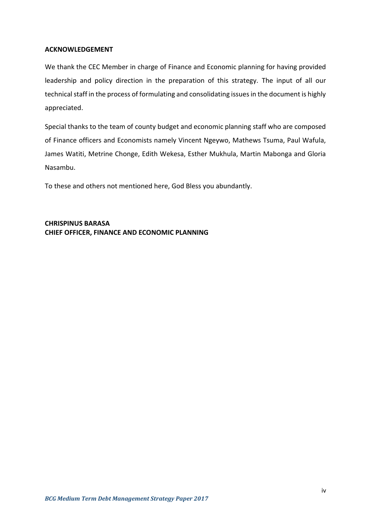#### <span id="page-4-0"></span>**ACKNOWLEDGEMENT**

We thank the CEC Member in charge of Finance and Economic planning for having provided leadership and policy direction in the preparation of this strategy. The input of all our technical staff in the process of formulating and consolidating issues in the document is highly appreciated.

Special thanks to the team of county budget and economic planning staff who are composed of Finance officers and Economists namely Vincent Ngeywo, Mathews Tsuma, Paul Wafula, James Watiti, Metrine Chonge, Edith Wekesa, Esther Mukhula, Martin Mabonga and Gloria Nasambu.

To these and others not mentioned here, God Bless you abundantly.

**CHRISPINUS BARASA CHIEF OFFICER, FINANCE AND ECONOMIC PLANNING**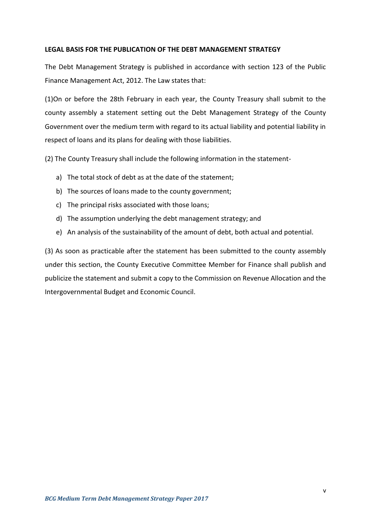#### <span id="page-5-0"></span>**LEGAL BASIS FOR THE PUBLICATION OF THE DEBT MANAGEMENT STRATEGY**

The Debt Management Strategy is published in accordance with section 123 of the Public Finance Management Act, 2012. The Law states that:

(1)On or before the 28th February in each year, the County Treasury shall submit to the county assembly a statement setting out the Debt Management Strategy of the County Government over the medium term with regard to its actual liability and potential liability in respect of loans and its plans for dealing with those liabilities.

(2) The County Treasury shall include the following information in the statement-

- a) The total stock of debt as at the date of the statement;
- b) The sources of loans made to the county government;
- c) The principal risks associated with those loans;
- d) The assumption underlying the debt management strategy; and
- e) An analysis of the sustainability of the amount of debt, both actual and potential.

(3) As soon as practicable after the statement has been submitted to the county assembly under this section, the County Executive Committee Member for Finance shall publish and publicize the statement and submit a copy to the Commission on Revenue Allocation and the Intergovernmental Budget and Economic Council.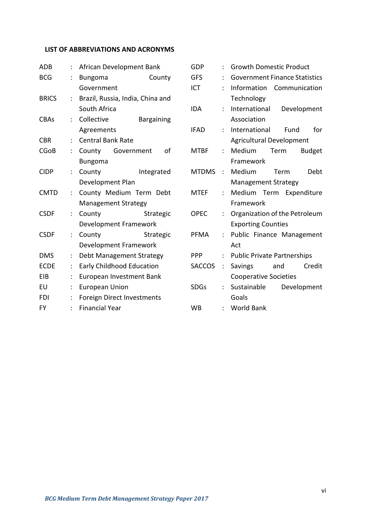# <span id="page-6-0"></span>**LIST OF ABBREVIATIONS AND ACRONYMS**

| <b>ADB</b>   |                      | African Development Bank |                            |                                  |  |
|--------------|----------------------|--------------------------|----------------------------|----------------------------------|--|
| <b>BCG</b>   | $\ddot{\cdot}$       | <b>Bungoma</b>           |                            | County                           |  |
|              |                      | Government               |                            |                                  |  |
| <b>BRICS</b> | $\ddot{\phantom{0}}$ |                          |                            | Brazil, Russia, India, China and |  |
|              |                      | South Africa             |                            |                                  |  |
| <b>CBAs</b>  | $\ddot{\phantom{0}}$ | Collective               |                            | <b>Bargaining</b>                |  |
|              |                      | Agreements               |                            |                                  |  |
| <b>CBR</b>   | ÷.                   |                          | <b>Central Bank Rate</b>   |                                  |  |
| <b>CGoB</b>  | $\ddot{\phantom{0}}$ |                          | County Government          | of                               |  |
|              |                      | <b>Bungoma</b>           |                            |                                  |  |
| <b>CIDP</b>  | $\ddot{\cdot}$       | County                   |                            | Integrated                       |  |
|              |                      |                          | Development Plan           |                                  |  |
| <b>CMTD</b>  | $\vdots$             |                          |                            | County Medium Term Debt          |  |
|              |                      |                          | <b>Management Strategy</b> |                                  |  |
| <b>CSDF</b>  | ÷                    | County                   |                            | Strategic                        |  |
|              |                      |                          | Development Framework      |                                  |  |
| <b>CSDF</b>  | $\ddot{\cdot}$       | County                   |                            | Strategic                        |  |
|              |                      |                          | Development Framework      |                                  |  |
| <b>DMS</b>   | $\ddot{\phantom{0}}$ |                          |                            | Debt Management Strategy         |  |
| <b>ECDE</b>  | $\ddot{\phantom{0}}$ |                          | Early Childhood Education  |                                  |  |
| EIB          | $\ddot{\cdot}$       |                          | European Investment Bank   |                                  |  |
| EU           | ÷.                   | <b>European Union</b>    |                            |                                  |  |
| FDI          | $\ddot{\phantom{0}}$ |                          | Foreign Direct Investments |                                  |  |
| FY           | $\ddot{\cdot}$       | <b>Financial Year</b>    |                            |                                  |  |

| GDP           | $\ddot{\cdot}$            | <b>Growth Domestic Product</b>       |  |
|---------------|---------------------------|--------------------------------------|--|
| <b>GFS</b>    | ÷                         | <b>Government Finance Statistics</b> |  |
| <b>ICT</b>    | $\ddot{\cdot}$            | Information Communication            |  |
|               |                           | Technology                           |  |
| <b>IDA</b>    | ÷.                        | International<br>Development         |  |
|               |                           | Association                          |  |
| <b>IFAD</b>   | ÷.                        | International Fund<br>for            |  |
|               |                           | <b>Agricultural Development</b>      |  |
| <b>MTBF</b>   | ÷.                        | Medium<br><b>Budget</b><br>Term      |  |
|               |                           | Framework                            |  |
| <b>MTDMS</b>  | $\mathbb{R}^{\mathbb{Z}}$ | <b>Debt</b><br>Medium<br>Term        |  |
|               |                           | <b>Management Strategy</b>           |  |
| <b>MTEF</b>   | $\mathbb{R}^{\mathbb{Z}}$ | Medium Term Expenditure              |  |
|               |                           | Framework                            |  |
| <b>OPEC</b>   | $\ddot{\phantom{0}}$      | Organization of the Petroleum        |  |
|               |                           | <b>Exporting Counties</b>            |  |
| PFMA          | $\ddot{\cdot}$            | Public Finance Management            |  |
|               |                           | Act                                  |  |
| PPP           | $\ddot{\cdot}$            | <b>Public Private Partnerships</b>   |  |
| <b>SACCOS</b> | $\ddot{\cdot}$            | Credit<br>Savings<br>and             |  |
|               |                           | <b>Cooperative Societies</b>         |  |
| <b>SDGs</b>   | ÷.                        | Sustainable<br>Development           |  |
|               |                           | Goals                                |  |
| WB            | $\ddot{\cdot}$            | <b>World Bank</b>                    |  |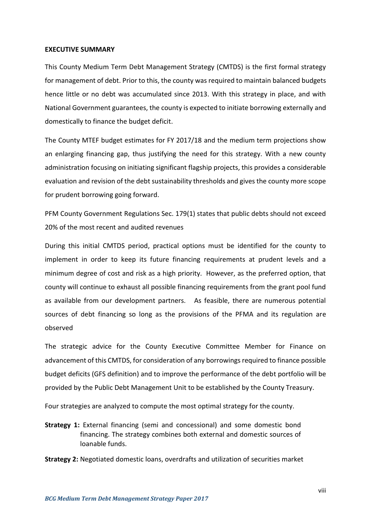#### <span id="page-7-0"></span>**EXECUTIVE SUMMARY**

This County Medium Term Debt Management Strategy (CMTDS) is the first formal strategy for management of debt. Prior to this, the county was required to maintain balanced budgets hence little or no debt was accumulated since 2013. With this strategy in place, and with National Government guarantees, the county is expected to initiate borrowing externally and domestically to finance the budget deficit.

The County MTEF budget estimates for FY 2017/18 and the medium term projections show an enlarging financing gap, thus justifying the need for this strategy. With a new county administration focusing on initiating significant flagship projects, this provides a considerable evaluation and revision of the debt sustainability thresholds and gives the county more scope for prudent borrowing going forward.

PFM County Government Regulations Sec. 179(1) states that public debts should not exceed 20% of the most recent and audited revenues

During this initial CMTDS period, practical options must be identified for the county to implement in order to keep its future financing requirements at prudent levels and a minimum degree of cost and risk as a high priority. However, as the preferred option, that county will continue to exhaust all possible financing requirements from the grant pool fund as available from our development partners. As feasible, there are numerous potential sources of debt financing so long as the provisions of the PFMA and its regulation are observed

The strategic advice for the County Executive Committee Member for Finance on advancement of this CMTDS, for consideration of any borrowings required to finance possible budget deficits (GFS definition) and to improve the performance of the debt portfolio will be provided by the Public Debt Management Unit to be established by the County Treasury.

Four strategies are analyzed to compute the most optimal strategy for the county.

**Strategy 1:** External financing (semi and concessional) and some domestic bond financing. The strategy combines both external and domestic sources of loanable funds.

**Strategy 2:** Negotiated domestic loans, overdrafts and utilization of securities market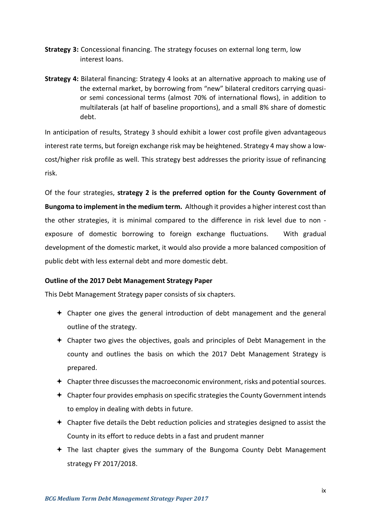- **Strategy 3:** Concessional financing. The strategy focuses on external long term, low interest loans.
- **Strategy 4:** Bilateral financing: Strategy 4 looks at an alternative approach to making use of the external market, by borrowing from "new" bilateral creditors carrying quasior semi concessional terms (almost 70% of international flows), in addition to multilaterals (at half of baseline proportions), and a small 8% share of domestic debt.

In anticipation of results, Strategy 3 should exhibit a lower cost profile given advantageous interest rate terms, but foreign exchange risk may be heightened. Strategy 4 may show a lowcost/higher risk profile as well. This strategy best addresses the priority issue of refinancing risk.

Of the four strategies, **strategy 2 is the preferred option for the County Government of Bungoma to implement in the medium term.** Although it provides a higher interest cost than the other strategies, it is minimal compared to the difference in risk level due to non exposure of domestic borrowing to foreign exchange fluctuations. With gradual development of the domestic market, it would also provide a more balanced composition of public debt with less external debt and more domestic debt.

#### **Outline of the 2017 Debt Management Strategy Paper**

This Debt Management Strategy paper consists of six chapters.

- $\div$  Chapter one gives the general introduction of debt management and the general outline of the strategy.
- $\triangle$  Chapter two gives the objectives, goals and principles of Debt Management in the county and outlines the basis on which the 2017 Debt Management Strategy is prepared.
- $\triangleq$  Chapter three discusses the macroeconomic environment, risks and potential sources.
- $\triangle$  Chapter four provides emphasis on specific strategies the County Government intends to employ in dealing with debts in future.
- $\triangle$  Chapter five details the Debt reduction policies and strategies designed to assist the County in its effort to reduce debts in a fast and prudent manner
- $\div$  The last chapter gives the summary of the Bungoma County Debt Management strategy FY 2017/2018.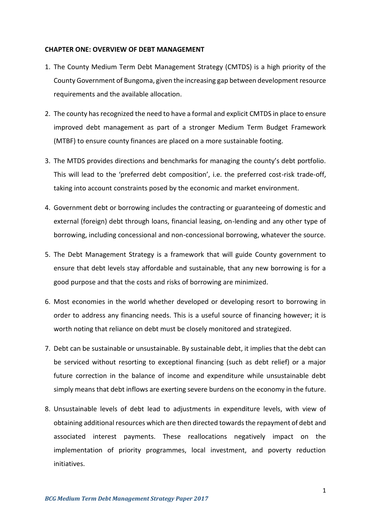#### <span id="page-9-0"></span>**CHAPTER ONE: OVERVIEW OF DEBT MANAGEMENT**

- 1. The County Medium Term Debt Management Strategy (CMTDS) is a high priority of the County Government of Bungoma, given the increasing gap between development resource requirements and the available allocation.
- 2. The county has recognized the need to have a formal and explicit CMTDS in place to ensure improved debt management as part of a stronger Medium Term Budget Framework (MTBF) to ensure county finances are placed on a more sustainable footing.
- 3. The MTDS provides directions and benchmarks for managing the county's debt portfolio. This will lead to the 'preferred debt composition', i.e. the preferred cost-risk trade-off, taking into account constraints posed by the economic and market environment.
- 4. Government debt or borrowing includes the contracting or guaranteeing of domestic and external (foreign) debt through loans, financial leasing, on-lending and any other type of borrowing, including concessional and non-concessional borrowing, whatever the source.
- 5. The Debt Management Strategy is a framework that will guide County government to ensure that debt levels stay affordable and sustainable, that any new borrowing is for a good purpose and that the costs and risks of borrowing are minimized.
- 6. Most economies in the world whether developed or developing resort to borrowing in order to address any financing needs. This is a useful source of financing however; it is worth noting that reliance on debt must be closely monitored and strategized.
- 7. Debt can be sustainable or unsustainable. By sustainable debt, it implies that the debt can be serviced without resorting to exceptional financing (such as debt relief) or a major future correction in the balance of income and expenditure while unsustainable debt simply means that debt inflows are exerting severe burdens on the economy in the future.
- 8. Unsustainable levels of debt lead to adjustments in expenditure levels, with view of obtaining additional resources which are then directed towards the repayment of debt and associated interest payments. These reallocations negatively impact on the implementation of priority programmes, local investment, and poverty reduction initiatives.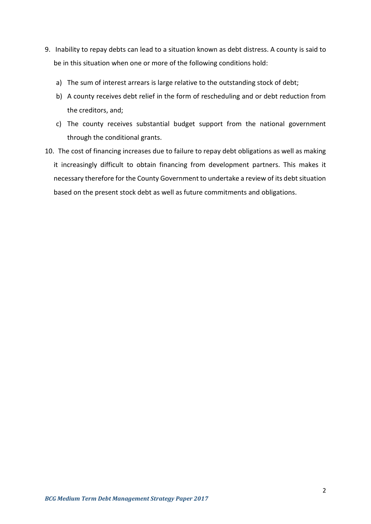- 9. Inability to repay debts can lead to a situation known as debt distress. A county is said to be in this situation when one or more of the following conditions hold:
	- a) The sum of interest arrears is large relative to the outstanding stock of debt;
	- b) A county receives debt relief in the form of rescheduling and or debt reduction from the creditors, and;
	- c) The county receives substantial budget support from the national government through the conditional grants.
- 10. The cost of financing increases due to failure to repay debt obligations as well as making it increasingly difficult to obtain financing from development partners. This makes it necessary therefore for the County Government to undertake a review of its debt situation based on the present stock debt as well as future commitments and obligations.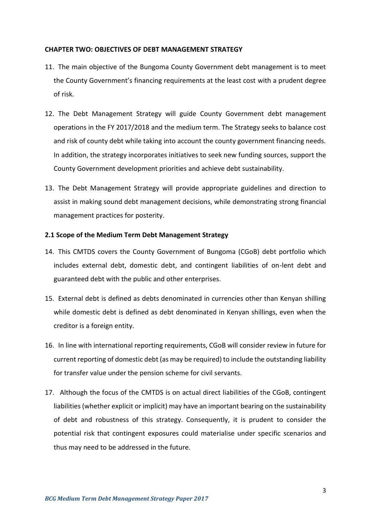#### <span id="page-11-0"></span>**CHAPTER TWO: OBJECTIVES OF DEBT MANAGEMENT STRATEGY**

- 11. The main objective of the Bungoma County Government debt management is to meet the County Government's financing requirements at the least cost with a prudent degree of risk.
- 12. The Debt Management Strategy will guide County Government debt management operations in the FY 2017/2018 and the medium term. The Strategy seeks to balance cost and risk of county debt while taking into account the county government financing needs. In addition, the strategy incorporates initiatives to seek new funding sources, support the County Government development priorities and achieve debt sustainability.
- 13. The Debt Management Strategy will provide appropriate guidelines and direction to assist in making sound debt management decisions, while demonstrating strong financial management practices for posterity.

#### <span id="page-11-1"></span>**2.1 Scope of the Medium Term Debt Management Strategy**

- 14. This CMTDS covers the County Government of Bungoma (CGoB) debt portfolio which includes external debt, domestic debt, and contingent liabilities of on-lent debt and guaranteed debt with the public and other enterprises.
- 15. External debt is defined as debts denominated in currencies other than Kenyan shilling while domestic debt is defined as debt denominated in Kenyan shillings, even when the creditor is a foreign entity.
- 16. In line with international reporting requirements, CGoB will consider review in future for current reporting of domestic debt (as may be required) to include the outstanding liability for transfer value under the pension scheme for civil servants.
- 17. Although the focus of the CMTDS is on actual direct liabilities of the CGoB, contingent liabilities (whether explicit or implicit) may have an important bearing on the sustainability of debt and robustness of this strategy. Consequently, it is prudent to consider the potential risk that contingent exposures could materialise under specific scenarios and thus may need to be addressed in the future.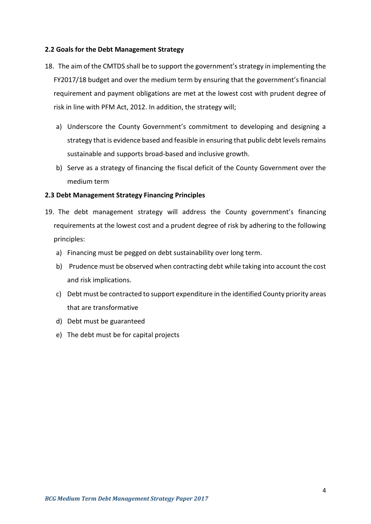#### <span id="page-12-0"></span>**2.2 Goals for the Debt Management Strategy**

- 18. The aim of the CMTDS shall be to support the government's strategy in implementing the FY2017/18 budget and over the medium term by ensuring that the government's financial requirement and payment obligations are met at the lowest cost with prudent degree of risk in line with PFM Act, 2012. In addition, the strategy will;
	- a) Underscore the County Government's commitment to developing and designing a strategy that is evidence based and feasible in ensuring that public debt levels remains sustainable and supports broad-based and inclusive growth.
	- b) Serve as a strategy of financing the fiscal deficit of the County Government over the medium term

## <span id="page-12-1"></span>**2.3 Debt Management Strategy Financing Principles**

- 19. The debt management strategy will address the County government's financing requirements at the lowest cost and a prudent degree of risk by adhering to the following principles:
	- a) Financing must be pegged on debt sustainability over long term.
	- b) Prudence must be observed when contracting debt while taking into account the cost and risk implications.
	- c) Debt must be contracted to support expenditure in the identified County priority areas that are transformative
	- d) Debt must be guaranteed
	- e) The debt must be for capital projects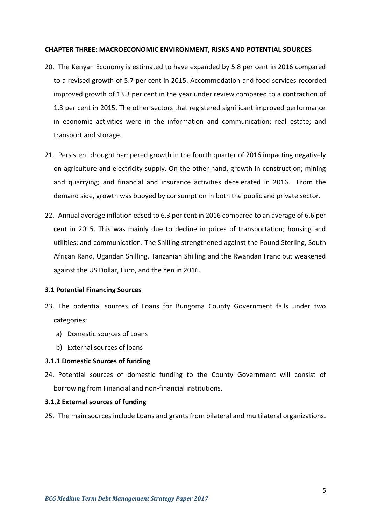#### <span id="page-13-0"></span>**CHAPTER THREE: MACROECONOMIC ENVIRONMENT, RISKS AND POTENTIAL SOURCES**

- 20. The Kenyan Economy is estimated to have expanded by 5.8 per cent in 2016 compared to a revised growth of 5.7 per cent in 2015. Accommodation and food services recorded improved growth of 13.3 per cent in the year under review compared to a contraction of 1.3 per cent in 2015. The other sectors that registered significant improved performance in economic activities were in the information and communication; real estate; and transport and storage.
- 21. Persistent drought hampered growth in the fourth quarter of 2016 impacting negatively on agriculture and electricity supply. On the other hand, growth in construction; mining and quarrying; and financial and insurance activities decelerated in 2016. From the demand side, growth was buoyed by consumption in both the public and private sector.
- 22. Annual average inflation eased to 6.3 per cent in 2016 compared to an average of 6.6 per cent in 2015. This was mainly due to decline in prices of transportation; housing and utilities; and communication. The Shilling strengthened against the Pound Sterling, South African Rand, Ugandan Shilling, Tanzanian Shilling and the Rwandan Franc but weakened against the US Dollar, Euro, and the Yen in 2016.

#### <span id="page-13-1"></span>**3.1 Potential Financing Sources**

- 23. The potential sources of Loans for Bungoma County Government falls under two categories:
	- a) Domestic sources of Loans
	- b) External sources of loans

#### **3.1.1 Domestic Sources of funding**

24. Potential sources of domestic funding to the County Government will consist of borrowing from Financial and non-financial institutions.

#### **3.1.2 External sources of funding**

25. The main sources include Loans and grants from bilateral and multilateral organizations.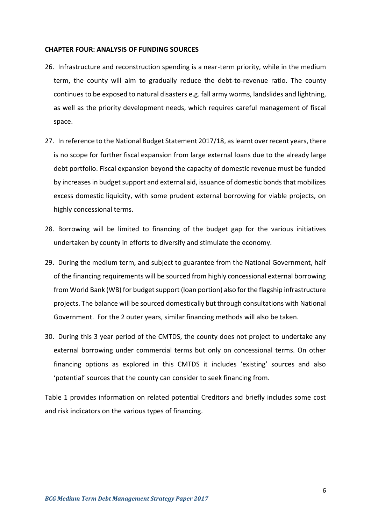#### <span id="page-14-0"></span>**CHAPTER FOUR: ANALYSIS OF FUNDING SOURCES**

- 26. Infrastructure and reconstruction spending is a near-term priority, while in the medium term, the county will aim to gradually reduce the debt-to-revenue ratio. The county continues to be exposed to natural disasters e.g. fall army worms, landslides and lightning, as well as the priority development needs, which requires careful management of fiscal space.
- 27. In reference to the National Budget Statement 2017/18, as learnt over recent years, there is no scope for further fiscal expansion from large external loans due to the already large debt portfolio. Fiscal expansion beyond the capacity of domestic revenue must be funded by increases in budget support and external aid, issuance of domestic bonds that mobilizes excess domestic liquidity, with some prudent external borrowing for viable projects, on highly concessional terms.
- 28. Borrowing will be limited to financing of the budget gap for the various initiatives undertaken by county in efforts to diversify and stimulate the economy.
- 29. During the medium term, and subject to guarantee from the National Government, half of the financing requirements will be sourced from highly concessional external borrowing from World Bank (WB) for budget support (loan portion) also for the flagship infrastructure projects. The balance will be sourced domestically but through consultations with National Government. For the 2 outer years, similar financing methods will also be taken.
- 30. During this 3 year period of the CMTDS, the county does not project to undertake any external borrowing under commercial terms but only on concessional terms. On other financing options as explored in this CMTDS it includes 'existing' sources and also 'potential' sources that the county can consider to seek financing from.

Table 1 provides information on related potential Creditors and briefly includes some cost and risk indicators on the various types of financing.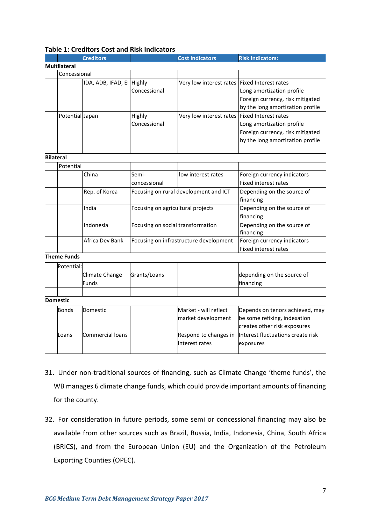|                  |                     | <b>Creditors</b>          |                                        | <b>Cost indicators</b>                | <b>Risk Indicators:</b>           |
|------------------|---------------------|---------------------------|----------------------------------------|---------------------------------------|-----------------------------------|
|                  | <b>Multilateral</b> |                           |                                        |                                       |                                   |
|                  | Concessional        |                           |                                        |                                       |                                   |
|                  |                     | IDA, ADB, IFAD, EI Highly |                                        | Very low interest rates               | <b>Fixed Interest rates</b>       |
|                  |                     |                           | Concessional                           |                                       | Long amortization profile         |
|                  |                     |                           |                                        |                                       | Foreign currency, risk mitigated  |
|                  |                     |                           |                                        |                                       | by the long amortization profile  |
|                  | Potential Japan     |                           | Highly                                 | Very low interest rates               | <b>Fixed Interest rates</b>       |
|                  |                     |                           | Concessional                           |                                       | Long amortization profile         |
|                  |                     |                           |                                        |                                       | Foreign currency, risk mitigated  |
|                  |                     |                           |                                        |                                       | by the long amortization profile  |
|                  |                     |                           |                                        |                                       |                                   |
| <b>Bilateral</b> |                     |                           |                                        |                                       |                                   |
|                  | Potential           |                           |                                        |                                       |                                   |
|                  |                     | China                     | Semi-                                  | low interest rates                    | Foreign currency indicators       |
|                  |                     |                           | concessional                           |                                       | <b>Fixed interest rates</b>       |
|                  |                     | Rep. of Korea             |                                        | Focusing on rural development and ICT | Depending on the source of        |
|                  |                     |                           |                                        |                                       | financing                         |
|                  |                     | India                     | Focusing on agricultural projects      |                                       | Depending on the source of        |
|                  |                     |                           |                                        |                                       | financing                         |
|                  |                     | Indonesia                 | Focusing on social transformation      |                                       | Depending on the source of        |
|                  |                     |                           |                                        |                                       | financing                         |
|                  |                     | Africa Dev Bank           | Focusing on infrastructure development |                                       | Foreign currency indicators       |
|                  |                     |                           |                                        |                                       | <b>Fixed interest rates</b>       |
|                  | <b>Theme Funds</b>  |                           |                                        |                                       |                                   |
|                  | Potential:          |                           |                                        |                                       |                                   |
|                  |                     | Climate Change            | Grants/Loans                           |                                       | depending on the source of        |
|                  |                     | <b>Funds</b>              |                                        |                                       | financing                         |
|                  |                     |                           |                                        |                                       |                                   |
|                  | <b>Domestic</b>     |                           |                                        |                                       |                                   |
|                  | Bonds               | Domestic                  |                                        | Market - will reflect                 | Depends on tenors achieved, may   |
|                  |                     |                           |                                        | market development                    | be some refixing, indexation      |
|                  |                     |                           |                                        |                                       | creates other risk exposures      |
|                  | Loans               | Commercial loans          |                                        | Respond to changes in                 | Interest fluctuations create risk |
|                  |                     |                           |                                        | interest rates                        | exposures                         |
|                  |                     |                           |                                        |                                       |                                   |

#### **Table 1: Creditors Cost and Risk Indicators**

- 31. Under non-traditional sources of financing, such as Climate Change 'theme funds', the WB manages 6 climate change funds, which could provide important amounts of financing for the county.
- 32. For consideration in future periods, some semi or concessional financing may also be available from other sources such as Brazil, Russia, India, Indonesia, China, South Africa (BRICS), and from the European Union (EU) and the Organization of the Petroleum Exporting Counties (OPEC).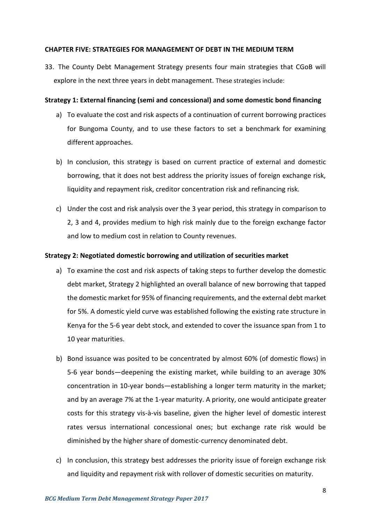#### <span id="page-16-0"></span>**CHAPTER FIVE: STRATEGIES FOR MANAGEMENT OF DEBT IN THE MEDIUM TERM**

33. The County Debt Management Strategy presents four main strategies that CGoB will explore in the next three years in debt management. These strategies include:

#### **Strategy 1: External financing (semi and concessional) and some domestic bond financing**

- a) To evaluate the cost and risk aspects of a continuation of current borrowing practices for Bungoma County, and to use these factors to set a benchmark for examining different approaches.
- b) In conclusion, this strategy is based on current practice of external and domestic borrowing, that it does not best address the priority issues of foreign exchange risk, liquidity and repayment risk, creditor concentration risk and refinancing risk.
- c) Under the cost and risk analysis over the 3 year period, this strategy in comparison to 2, 3 and 4, provides medium to high risk mainly due to the foreign exchange factor and low to medium cost in relation to County revenues.

#### **Strategy 2: Negotiated domestic borrowing and utilization of securities market**

- a) To examine the cost and risk aspects of taking steps to further develop the domestic debt market, Strategy 2 highlighted an overall balance of new borrowing that tapped the domestic market for 95% of financing requirements, and the external debt market for 5%. A domestic yield curve was established following the existing rate structure in Kenya for the 5-6 year debt stock, and extended to cover the issuance span from 1 to 10 year maturities.
- b) Bond issuance was posited to be concentrated by almost 60% (of domestic flows) in 5-6 year bonds—deepening the existing market, while building to an average 30% concentration in 10-year bonds—establishing a longer term maturity in the market; and by an average 7% at the 1-year maturity. A priority, one would anticipate greater costs for this strategy vis-à-vis baseline, given the higher level of domestic interest rates versus international concessional ones; but exchange rate risk would be diminished by the higher share of domestic-currency denominated debt.
- c) In conclusion, this strategy best addresses the priority issue of foreign exchange risk and liquidity and repayment risk with rollover of domestic securities on maturity.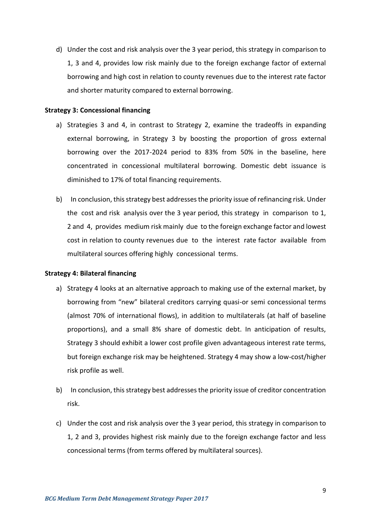d) Under the cost and risk analysis over the 3 year period, this strategy in comparison to 1, 3 and 4, provides low risk mainly due to the foreign exchange factor of external borrowing and high cost in relation to county revenues due to the interest rate factor and shorter maturity compared to external borrowing.

#### **Strategy 3: Concessional financing**

- a) Strategies 3 and 4, in contrast to Strategy 2, examine the tradeoffs in expanding external borrowing, in Strategy 3 by boosting the proportion of gross external borrowing over the 2017-2024 period to 83% from 50% in the baseline, here concentrated in concessional multilateral borrowing. Domestic debt issuance is diminished to 17% of total financing requirements.
- b) In conclusion, this strategy best addresses the priority issue of refinancing risk. Under the cost and risk analysis over the 3 year period, this strategy in comparison to 1, 2 and 4, provides medium risk mainly due to the foreign exchange factor and lowest cost in relation to county revenues due to the interest rate factor available from multilateral sources offering highly concessional terms.

#### **Strategy 4: Bilateral financing**

- a) Strategy 4 looks at an alternative approach to making use of the external market, by borrowing from "new" bilateral creditors carrying quasi-or semi concessional terms (almost 70% of international flows), in addition to multilaterals (at half of baseline proportions), and a small 8% share of domestic debt. In anticipation of results, Strategy 3 should exhibit a lower cost profile given advantageous interest rate terms, but foreign exchange risk may be heightened. Strategy 4 may show a low-cost/higher risk profile as well.
- b) In conclusion, this strategy best addresses the priority issue of creditor concentration risk.
- c) Under the cost and risk analysis over the 3 year period, this strategy in comparison to 1, 2 and 3, provides highest risk mainly due to the foreign exchange factor and less concessional terms (from terms offered by multilateral sources).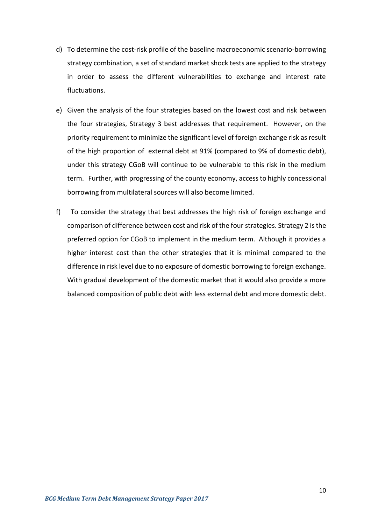- d) To determine the cost-risk profile of the baseline macroeconomic scenario-borrowing strategy combination, a set of standard market shock tests are applied to the strategy in order to assess the different vulnerabilities to exchange and interest rate fluctuations.
- e) Given the analysis of the four strategies based on the lowest cost and risk between the four strategies, Strategy 3 best addresses that requirement. However, on the priority requirement to minimize the significant level of foreign exchange risk as result of the high proportion of external debt at 91% (compared to 9% of domestic debt), under this strategy CGoB will continue to be vulnerable to this risk in the medium term. Further, with progressing of the county economy, access to highly concessional borrowing from multilateral sources will also become limited.
- f) To consider the strategy that best addresses the high risk of foreign exchange and comparison of difference between cost and risk of the four strategies. Strategy 2 is the preferred option for CGoB to implement in the medium term. Although it provides a higher interest cost than the other strategies that it is minimal compared to the difference in risk level due to no exposure of domestic borrowing to foreign exchange. With gradual development of the domestic market that it would also provide a more balanced composition of public debt with less external debt and more domestic debt.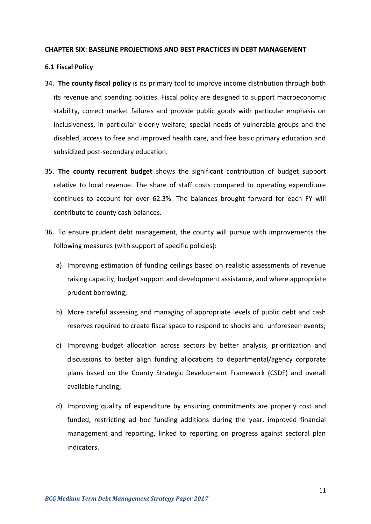#### <span id="page-19-0"></span>**CHAPTER SIX: BASELINE PROJECTIONS AND BEST PRACTICES IN DEBT MANAGEMENT**

#### <span id="page-19-1"></span>**6.1 Fiscal Policy**

- 34. **The county fiscal policy** is its primary tool to improve income distribution through both its revenue and spending policies. Fiscal policy are designed to support macroeconomic stability, correct market failures and provide public goods with particular emphasis on inclusiveness, in particular elderly welfare, special needs of vulnerable groups and the disabled, access to free and improved health care, and free basic primary education and subsidized post-secondary education.
- 35. **The county recurrent budget** shows the significant contribution of budget support relative to local revenue. The share of staff costs compared to operating expenditure continues to account for over 62.3%. The balances brought forward for each FY will contribute to county cash balances.
- 36. To ensure prudent debt management, the county will pursue with improvements the following measures (with support of specific policies):
	- a) Improving estimation of funding ceilings based on realistic assessments of revenue raising capacity, budget support and development assistance, and where appropriate prudent borrowing;
	- b) More careful assessing and managing of appropriate levels of public debt and cash reserves required to create fiscal space to respond to shocks and unforeseen events;
	- c) Improving budget allocation across sectors by better analysis, prioritization and discussions to better align funding allocations to departmental/agency corporate plans based on the County Strategic Development Framework (CSDF) and overall available funding;
	- d) Improving quality of expenditure by ensuring commitments are properly cost and funded, restricting ad hoc funding additions during the year, improved financial management and reporting, linked to reporting on progress against sectoral plan indicators.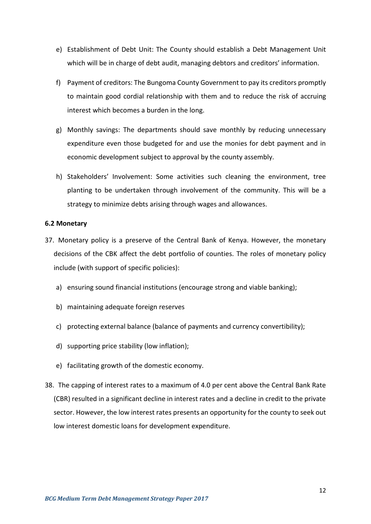- e) Establishment of Debt Unit: The County should establish a Debt Management Unit which will be in charge of debt audit, managing debtors and creditors' information.
- f) Payment of creditors: The Bungoma County Government to pay its creditors promptly to maintain good cordial relationship with them and to reduce the risk of accruing interest which becomes a burden in the long.
- g) Monthly savings: The departments should save monthly by reducing unnecessary expenditure even those budgeted for and use the monies for debt payment and in economic development subject to approval by the county assembly.
- h) Stakeholders' Involvement: Some activities such cleaning the environment, tree planting to be undertaken through involvement of the community. This will be a strategy to minimize debts arising through wages and allowances.

#### <span id="page-20-0"></span>**6.2 Monetary**

- 37. Monetary policy is a preserve of the Central Bank of Kenya. However, the monetary decisions of the CBK affect the debt portfolio of counties. The roles of monetary policy include (with support of specific policies):
	- a) ensuring sound financial institutions (encourage strong and viable banking);
	- b) maintaining adequate foreign reserves
	- c) protecting external balance (balance of payments and currency convertibility);
	- d) supporting price stability (low inflation);
	- e) facilitating growth of the domestic economy.
- 38. The capping of interest rates to a maximum of 4.0 per cent above the Central Bank Rate (CBR) resulted in a significant decline in interest rates and a decline in credit to the private sector. However, the low interest rates presents an opportunity for the county to seek out low interest domestic loans for development expenditure.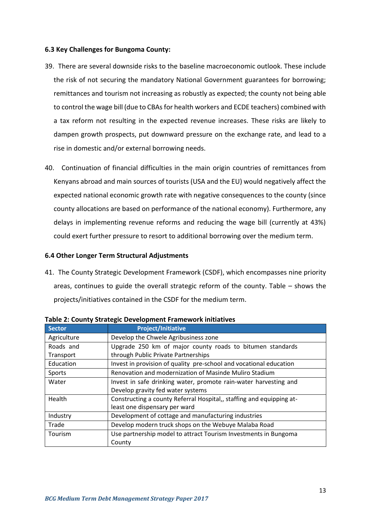#### <span id="page-21-0"></span>**6.3 Key Challenges for Bungoma County:**

- 39. There are several downside risks to the baseline macroeconomic outlook. These include the risk of not securing the mandatory National Government guarantees for borrowing; remittances and tourism not increasing as robustly as expected; the county not being able to control the wage bill (due to CBAs for health workers and ECDE teachers) combined with a tax reform not resulting in the expected revenue increases. These risks are likely to dampen growth prospects, put downward pressure on the exchange rate, and lead to a rise in domestic and/or external borrowing needs.
- 40. Continuation of financial difficulties in the main origin countries of remittances from Kenyans abroad and main sources of tourists (USA and the EU) would negatively affect the expected national economic growth rate with negative consequences to the county (since county allocations are based on performance of the national economy). Furthermore, any delays in implementing revenue reforms and reducing the wage bill (currently at 43%) could exert further pressure to resort to additional borrowing over the medium term.

#### <span id="page-21-1"></span>**6.4 Other Longer Term Structural Adjustments**

41. The County Strategic Development Framework (CSDF), which encompasses nine priority areas, continues to guide the overall strategic reform of the county. Table – shows the projects/initiatives contained in the CSDF for the medium term.

| <b>Sector</b> | <b>Project/Initiative</b>                                            |
|---------------|----------------------------------------------------------------------|
| Agriculture   | Develop the Chwele Agribusiness zone                                 |
| Roads and     | Upgrade 250 km of major county roads to bitumen standards            |
| Transport     | through Public Private Partnerships                                  |
| Education     | Invest in provision of quality pre-school and vocational education   |
| Sports        | Renovation and modernization of Masinde Muliro Stadium               |
| Water         | Invest in safe drinking water, promote rain-water harvesting and     |
|               | Develop gravity fed water systems                                    |
| Health        | Constructing a county Referral Hospital,, staffing and equipping at- |
|               | least one dispensary per ward                                        |
| Industry      | Development of cottage and manufacturing industries                  |
| Trade         | Develop modern truck shops on the Webuye Malaba Road                 |
| Tourism       | Use partnership model to attract Tourism Investments in Bungoma      |
|               | County                                                               |

**Table 2: County Strategic Development Framework initiatives**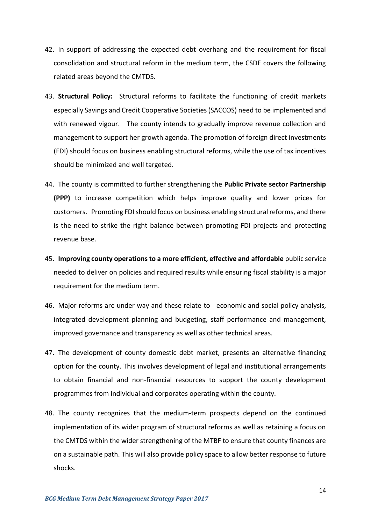- 42. In support of addressing the expected debt overhang and the requirement for fiscal consolidation and structural reform in the medium term, the CSDF covers the following related areas beyond the CMTDS.
- 43. **Structural Policy:** Structural reforms to facilitate the functioning of credit markets especially Savings and Credit Cooperative Societies (SACCOS) need to be implemented and with renewed vigour. The county intends to gradually improve revenue collection and management to support her growth agenda. The promotion of foreign direct investments (FDI) should focus on business enabling structural reforms, while the use of tax incentives should be minimized and well targeted.
- 44. The county is committed to further strengthening the **Public Private sector Partnership (PPP)** to increase competition which helps improve quality and lower prices for customers. Promoting FDI should focus on business enabling structural reforms, and there is the need to strike the right balance between promoting FDI projects and protecting revenue base.
- 45. **Improving county operations to a more efficient, effective and affordable** public service needed to deliver on policies and required results while ensuring fiscal stability is a major requirement for the medium term.
- 46. Major reforms are under way and these relate to economic and social policy analysis, integrated development planning and budgeting, staff performance and management, improved governance and transparency as well as other technical areas.
- 47. The development of county domestic debt market, presents an alternative financing option for the county. This involves development of legal and institutional arrangements to obtain financial and non-financial resources to support the county development programmes from individual and corporates operating within the county.
- 48. The county recognizes that the medium-term prospects depend on the continued implementation of its wider program of structural reforms as well as retaining a focus on the CMTDS within the wider strengthening of the MTBF to ensure that county finances are on a sustainable path. This will also provide policy space to allow better response to future shocks.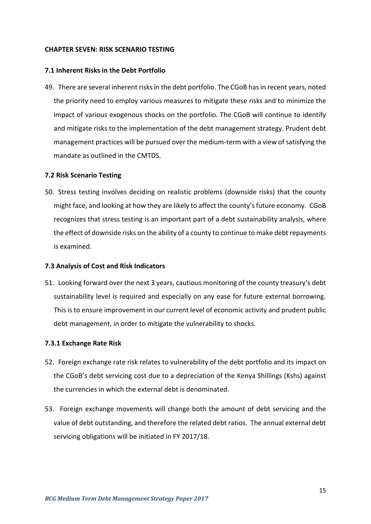#### <span id="page-23-0"></span>**CHAPTER SEVEN: RISK SCENARIO TESTING**

#### <span id="page-23-1"></span>**7.1 Inherent Risks in the Debt Portfolio**

49. There are several inherent risks in the debt portfolio. The CGoB has in recent years, noted the priority need to employ various measures to mitigate these risks and to minimize the impact of various exogenous shocks on the portfolio. The CGoB will continue to identify and mitigate risks to the implementation of the debt management strategy. Prudent debt management practices will be pursued over the medium-term with a view of satisfying the mandate as outlined in the CMTDS.

#### <span id="page-23-2"></span>**7.2 Risk Scenario Testing**

50. Stress testing involves deciding on realistic problems (downside risks) that the county might face, and looking at how they are likely to affect the county's future economy. CGoB recognizes that stress testing is an important part of a debt sustainability analysis, where the effect of downside risks on the ability of a county to continue to make debt repayments is examined.

#### <span id="page-23-3"></span>**7.3 Analysis of Cost and Risk Indicators**

51. Looking forward over the next 3 years, cautious monitoring of the county treasury's debt sustainability level is required and especially on any ease for future external borrowing. This is to ensure improvement in our current level of economic activity and prudent public debt management, in order to mitigate the vulnerability to shocks.

#### **7.3.1 Exchange Rate Risk**

- 52. Foreign exchange rate risk relates to vulnerability of the debt portfolio and its impact on the CGoB's debt servicing cost due to a depreciation of the Kenya Shillings (Kshs) against the currencies in which the external debt is denominated.
- 53. Foreign exchange movements will change both the amount of debt servicing and the value of debt outstanding, and therefore the related debt ratios. The annual external debt servicing obligations will be initiated in FY 2017/18.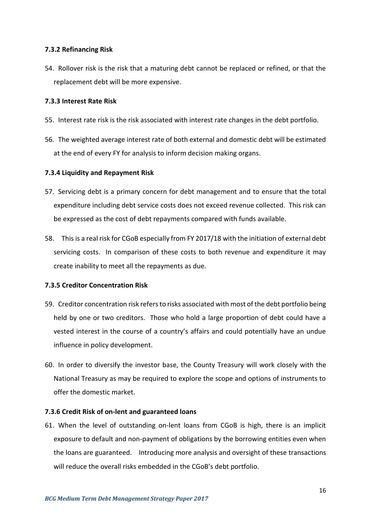### **7.3.2 Refinancing Risk**

54. Rollover risk is the risk that a maturing debt cannot be replaced or refined, or that the replacement debt will be more expensive.

### **7.3.3 Interest Rate Risk**

- 55. Interest rate risk is the risk associated with interest rate changes in the debt portfolio.
- 56. The weighted average interest rate of both external and domestic debt will be estimated at the end of every FY for analysis to inform decision making organs.

## **7.3.4 Liquidity and Repayment Risk**

- 57. Servicing debt is a primary concern for debt management and to ensure that the total expenditure including debt service costs does not exceed revenue collected. This risk can be expressed as the cost of debt repayments compared with funds available.
- 58. This is a real risk for CGoB especially from FY 2017/18 with the initiation of external debt servicing costs. In comparison of these costs to both revenue and expenditure it may create inability to meet all the repayments as due.

# **7.3.5 Creditor Concentration Risk**

- 59. Creditor concentration risk refers to risks associated with most of the debt portfolio being held by one or two creditors. Those who hold a large proportion of debt could have a vested interest in the course of a country's affairs and could potentially have an undue influence in policy development.
- 60. In order to diversify the investor base, the County Treasury will work closely with the National Treasury as may be required to explore the scope and options of instruments to offer the domestic market.

#### **7.3.6 Credit Risk of on-lent and guaranteed loans**

61. When the level of outstanding on-lent loans from CGoB is high, there is an implicit exposure to default and non-payment of obligations by the borrowing entities even when the loans are guaranteed. Introducing more analysis and oversight of these transactions will reduce the overall risks embedded in the CGoB's debt portfolio.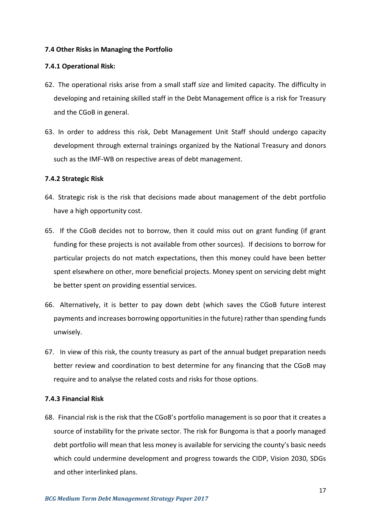#### <span id="page-25-0"></span>**7.4 Other Risks in Managing the Portfolio**

#### **7.4.1 Operational Risk:**

- 62. The operational risks arise from a small staff size and limited capacity. The difficulty in developing and retaining skilled staff in the Debt Management office is a risk for Treasury and the CGoB in general.
- 63. In order to address this risk, Debt Management Unit Staff should undergo capacity development through external trainings organized by the National Treasury and donors such as the IMF-WB on respective areas of debt management.

#### **7.4.2 Strategic Risk**

- 64. Strategic risk is the risk that decisions made about management of the debt portfolio have a high opportunity cost.
- 65. If the CGoB decides not to borrow, then it could miss out on grant funding (if grant funding for these projects is not available from other sources). If decisions to borrow for particular projects do not match expectations, then this money could have been better spent elsewhere on other, more beneficial projects. Money spent on servicing debt might be better spent on providing essential services.
- 66. Alternatively, it is better to pay down debt (which saves the CGoB future interest payments and increases borrowing opportunities in the future) rather than spending funds unwisely.
- 67. In view of this risk, the county treasury as part of the annual budget preparation needs better review and coordination to best determine for any financing that the CGoB may require and to analyse the related costs and risks for those options.

#### **7.4.3 Financial Risk**

68. Financial risk is the risk that the CGoB's portfolio management is so poor that it creates a source of instability for the private sector. The risk for Bungoma is that a poorly managed debt portfolio will mean that less money is available for servicing the county's basic needs which could undermine development and progress towards the CIDP, Vision 2030, SDGs and other interlinked plans.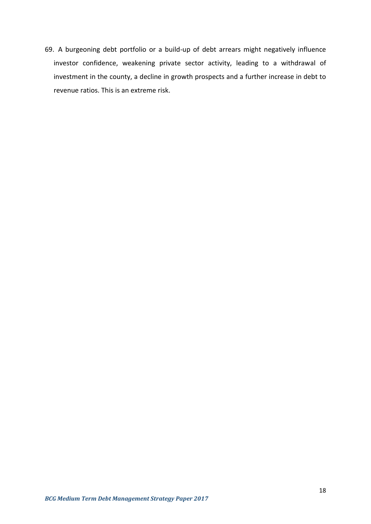69. A burgeoning debt portfolio or a build-up of debt arrears might negatively influence investor confidence, weakening private sector activity, leading to a withdrawal of investment in the county, a decline in growth prospects and a further increase in debt to revenue ratios. This is an extreme risk.